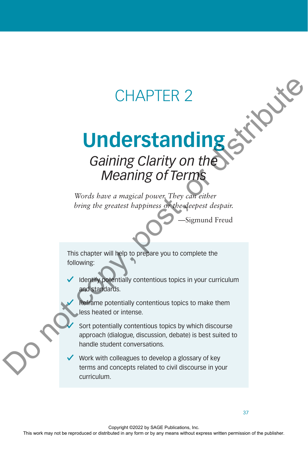# CHAPTER 2

# **Understanding**

# *Gaining Clarity on the Meaning of Terms*

*Words have a magical power. They can either bring the greatest happiness or the deepest despair.*

—Sigmund Freud

This chapter will help to prepare you to complete the following:

Identify potentially contentious topics in your curriculum and standards.

Reframe potentially contentious topics to make them less heated or intense.

Sort potentially contentious topics by which discourse approach (dialogue, discussion, debate) is best suited to handle student conversations. CHAPTER 2<br> **Understanding of Terms**<br>
Words have a magical power, They can enter<br>
Work have a magical power, They can enter<br>
Using the greatest burpiness of the publishers is equal to equal to<br>
this chapter will help to pr

Work with colleagues to develop a glossary of key terms and concepts related to civil discourse in your curriculum.

37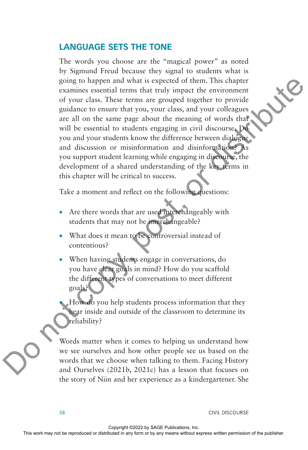### **LANGUAGE SETS THE TONE**

The words you choose are the "magical power" as noted by Sigmund Freud because they signal to students what is going to happen and what is expected of them. This chapter examines essential terms that truly impact the environment of your class. These terms are grouped together to provide guidance to ensure that you, your class, and your colleagues are all on the same page about the meaning of words that will be essential to students engaging in civil discourse. Do you and your students know the difference between dialogue and discussion or misinformation and disinformation? As you support student learning while engaging in discourse, the development of a shared understanding of the key terms in this chapter will be critical to success. going to the term are good of them. This chapter to provide the reproduced or distributed pindon to be seen a growth the publisher to provide a problem of the semi-pape about the meaning of work that are publisher. We wil

Take a moment and reflect on the following questions:

- Are there words that are used interchangeably with students that may not be interchangeable?
- What does it mean to be controversial instead of contentious?
- When having students engage in conversations, do you have clear goals in mind? How do you scaffold the different types of conversations to meet different goals?

• How do you help students process information that they hear inside and outside of the classroom to determine its reliability?

Words matter when it comes to helping us understand how we see ourselves and how other people see us based on the words that we choose when talking to them. Facing History and Ourselves (2021b, 2021c) has a lesson that focuses on the story of Niin and her experience as a kindergartener. She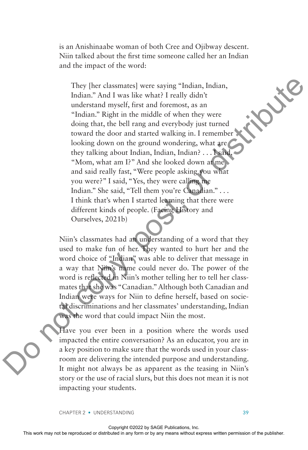is an Anishinaabe woman of both Cree and Ojibway descent. Niin talked about the first time someone called her an Indian and the impact of the word:

They [her classmates] were saying "Indian, Indian, Indian." And I was like what? I really didn't understand myself, first and foremost, as an "Indian." Right in the middle of when they were doing that, the bell rang and everybody just turned toward the door and started walking in. I remember looking down on the ground wondering, what are they talking about Indian, Indian, Indian? . . . I said, "Mom, what am I?" And she looked down at me and said really fast, "Were people asking you what you were?" I said, "Yes, they were calling me Indian." She said, "Tell them you're Canadian." . . . I think that's when I started learning that there were different kinds of people. (Facing History and Ourselves, 2021b) They ther classmates there saying "Indian, Indian, enchanter Yand I wis like what I realisted or dwiven the work or be reproduced or any server distributed in any means were distributed in a server distributed in a server

Niin's classmates had an understanding of a word that they used to make fun of her. They wanted to hurt her and the word choice of "Indian" was able to deliver that message in a way that Niin's name could never do. The power of the word is reflected in Niin's mother telling her to tell her classmates that she was "Canadian." Although both Canadian and Indian were ways for Niin to define herself, based on societal discriminations and her classmates' understanding, Indian was the word that could impact Niin the most.

Have you ever been in a position where the words used impacted the entire conversation? As an educator, you are in a key position to make sure that the words used in your classroom are delivering the intended purpose and understanding. It might not always be as apparent as the teasing in Niin's story or the use of racial slurs, but this does not mean it is not impacting your students.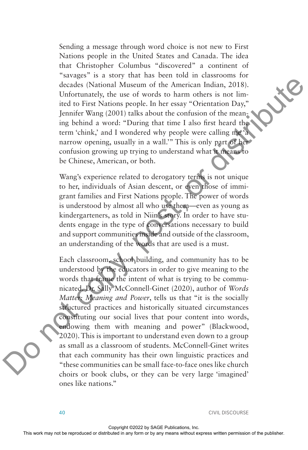Sending a message through word choice is not new to First Nations people in the United States and Canada. The idea that Christopher Columbus "discovered" a continent of "savages" is a story that has been told in classrooms for decades (National Museum of the American Indian, 2018). Unfortunately, the use of words to harm others is not limited to First Nations people. In her essay "Orientation Day," Jennifer Wang (2001) talks about the confusion of the meaning behind a word: "During that time I also first heard the term 'chink,' and I wondered why people were calling me 'a narrow opening, usually in a wall.'" This is only part of her confusion growing up trying to understand what it means to be Chinese, American, or both.

Wang's experience related to derogatory terms is not unique to her, individuals of Asian descent, or even those of immigrant families and First Nations people. The power of words is understood by almost all who use them—even as young as kindergarteners, as told in Niin's story. In order to have students engage in the type of conversations necessary to build and support communities inside and outside of the classroom, an understanding of the words that are used is a must.

Each classroom, school building, and community has to be understood by the educators in order to give meaning to the words that frame the intent of what is trying to be communicated. Dr. Sally McConnell-Ginet (2020), author of *Words Matter: Meaning and Power*, tells us that "it is the socially structured practices and historically situated circumstances constituting our social lives that pour content into words, endowing them with meaning and power" (Blackwood, 2020). This is important to understand even down to a group as small as a classroom of students. McConnell-Ginet writes that each community has their own linguistic practices and "these communities can be small face-to-face ones like church choirs or book clubs, or they can be very large 'imagined' ones like nations." Exercise May not be reproduced or the reproduced or distributed in any of the American Indian, 2018). Unformately, the use of words to harm often is not be in semi-<br>implication of the publisher and the results of the publ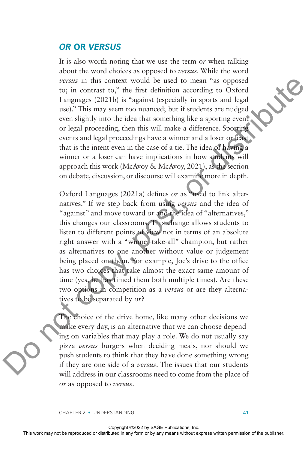#### *OR* **OR** *VERSUS*

It is also worth noting that we use the term *or* when talking about the word choices as opposed to *versus*. While the word *versus* in this context would be used to mean "as opposed to; in contrast to," the first definition according to Oxford Languages (2021b) is "against (especially in sports and legal use)." This may seem too nuanced; but if students are nudged even slightly into the idea that something like a sporting event or legal proceeding, then this will make a difference. Sporting events and legal proceedings have a winner and a loser or least that is the intent even in the case of a tie. The idea of having a winner or a loser can have implications in how students will approach this work (McAvoy & McAvoy, 2021), as the section on debate, discussion, or discourse will examine more in depth.

Oxford Languages (2021a) defines *or* as "used to link alternatives." If we step back from using *versus* and the idea of "against" and move toward *or* and the idea of "alternatives," this changes our classrooms. This change allows students to listen to different points of view not in terms of an absolute right answer with a "winner-take-all" champion, but rather as alternatives to one another without value or judgement being placed on them. For example, Joe's drive to the office has two choices that take almost the exact same amount of time (yes, he has timed them both multiple times). Are these two options in competition as a *versus* or are they alternatives to be separated by *or*? the repressenting the results of the reproduced or distributed in a special control and legal procedure to the reproduced or the state in a special or the publisher in any form or by any means and legal procedure or allow

The choice of the drive home, like many other decisions we make every day, is an alternative that we can choose depending on variables that may play a role. We do not usually say pizza *versus* burgers when deciding meals, nor should we push students to think that they have done something wrong if they are one side of a *versus*. The issues that our students will address in our classrooms need to come from the place of *or* as opposed to *versus*.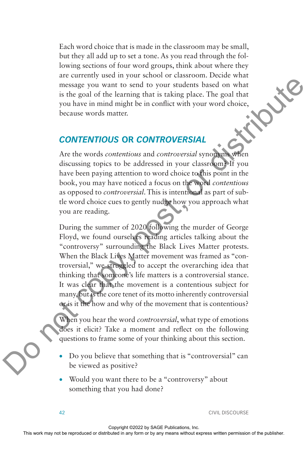Each word choice that is made in the classroom may be small, but they all add up to set a tone. As you read through the following sections of four word groups, think about where they are currently used in your school or classroom. Decide what message you want to send to your students based on what is the goal of the learning that is taking place. The goal that you have in mind might be in conflict with your word choice, because words matter.

# *CONTENTIOUS* **OR** *CONTROVERSIAL*

Are the words *contentious* and *controversial* synonyms when discussing topics to be addressed in your classroom? If you have been paying attention to word choice to this point in the book, you may have noticed a focus on the word *contentious* as opposed to *controversial*. This is intentional as part of subtle word choice cues to gently nudge how you approach what you are reading.

During the summer of 2020 following the murder of George Floyd, we found ourselves reading articles talking about the "controversy" surrounding the Black Lives Matter protests. When the Black Lives Matter movement was framed as "controversial," we struggled to accept the overarching idea that thinking that someone's life matters is a controversial stance. It was clear that the movement is a contentious subject for many, but is the core tenet of its motto inherently controversial or is it the how and why of the movement that is contentious? The goal of the leavening that is taking place. The goal or distributed in any single reproduced in the reproduced in the computer or by any form or distributed in the publisher. CONTENTIOUS OR CONTROVERSIAL Are the work

When you hear the word *controversial*, what type of emotions does it elicit? Take a moment and reflect on the following questions to frame some of your thinking about this section.

- Do you believe that something that is "controversial" can be viewed as positive?
- Would you want there to be a "controversy" about something that you had done?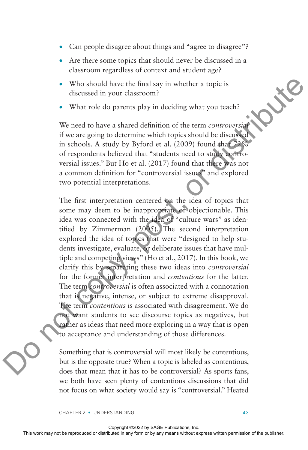- Can people disagree about things and "agree to disagree"?
- Are there some topics that should never be discussed in a classroom regardless of context and student age?
- Who should have the final say in whether a topic is discussed in your classroom?
- What role do parents play in deciding what you teach?

We need to have a shared definition of the term *controversial* if we are going to determine which topics should be discussed in schools. A study by Byford et al.  $(2009)$  found that  $72\%$ of respondents believed that "students need to study controversial issues." But Ho et al. (2017) found that there was not a common definition for "controversial issues" and explored two potential interpretations.

The first interpretation centered on the idea of topics that some may deem to be inappropriate or objectionable. This idea was connected with the idea of "culture wars" as identified by Zimmerman (2005). The second interpretation explored the idea of topics that were "designed to help students investigate, evaluate, or deliberate issues that have multiple and competing views" (Ho et al., 2017). In this book, we clarify this by separating these two ideas into *controversial* for the former interpretation and *contentious* for the latter. The term *controversial* is often associated with a connotation that is negative, intense, or subject to extreme disapproval. The term *contentious* is associated with disagreement. We do not want students to see discourse topics as negatives, but rather as ideas that need more exploring in a way that is open to acceptance and understanding of those differences. The may not be reproduced or distributed or distributed in the reproduced or distributed in schools. A study by Byford et al. (2009) found that  $\frac{\partial P}{\partial x}$  is in a contoo a base reproduced that "such that the function of

Something that is controversial will most likely be contentious, but is the opposite true? When a topic is labeled as contentious, does that mean that it has to be controversial? As sports fans, we both have seen plenty of contentious discussions that did not focus on what society would say is "controversial." Heated

CHAPTER 2 • UNDERSTANDING 43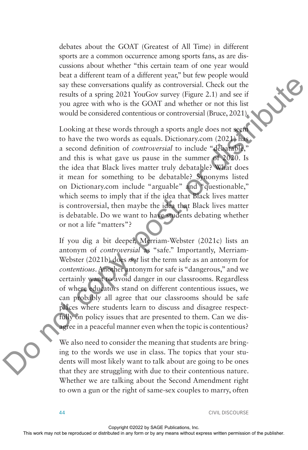debates about the GOAT (Greatest of All Time) in different sports are a common occurrence among sports fans, as are discussions about whether "this certain team of one year would beat a different team of a different year," but few people would say these conversations qualify as controversial. Check out the results of a spring 2021 YouGov survey (Figure 2.1) and see if you agree with who is the GOAT and whether or not this list would be considered contentious or controversial (Bruce, 2021).

Looking at these words through a sports angle does not seem to have the two words as equals. Dictionary.com (2021) has a second definition of *controversial* to include "debatable," and this is what gave us pause in the summer of 2020. Is the idea that Black lives matter truly debatable? What does it mean for something to be debatable? Synonyms listed on Dictionary.com include "arguable" and "questionable," which seems to imply that if the idea that Black lives matter is controversial, then maybe the idea that Black lives matter is debatable. Do we want to have students debating whether or not a life "matters"? EVERTHE STONE THE STONE THE STONE THE STONE OF THE STONE OF THE STONE OF THE STONE OF THE STONE OR DETERMINISHED CONDITION THE STONE OF THE STONE OF THE STONE OF THE STONE OF THE STONE OF THE STONE OF THE STONE OF THE STO

If you dig a bit deeper, Merriam-Webster (2021c) lists an antonym of *controversial* as "safe." Importantly, Merriam-Webster (2021b) does *not* list the term safe as an antonym for *contentious*. Another antonym for safe is "dangerous," and we certainly want to avoid danger in our classrooms. Regardless of where educators stand on different contentious issues, we can probably all agree that our classrooms should be safe places where students learn to discuss and disagree respectfully on policy issues that are presented to them. Can we disagree in a peaceful manner even when the topic is contentious?

We also need to consider the meaning that students are bringing to the words we use in class. The topics that your students will most likely want to talk about are going to be ones that they are struggling with due to their contentious nature. Whether we are talking about the Second Amendment right to own a gun or the right of same-sex couples to marry, often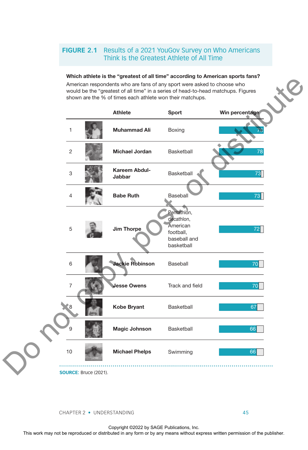#### **FIGURE 2.1** Results of a 2021 YouGov Survey on Who Americans Think Is the Greatest Athlete of All Time

#### Which athlete is the "greatest of all time" according to American sports fans?

American respondents who are fans of any sport were asked to choose who would be the "greatest of all time" in a series of head-to-head matchups. Figures shown are the % of times each athlete won their matchups.



**SOURCE:** Bruce (2021).

CHAPTER 2 • UNDERSTANDING 45

Copyright ©2022 by SAGE Publications, Inc.<br>This work may not be reproduced or distributed in any form or by any means without express written permission of the publisher.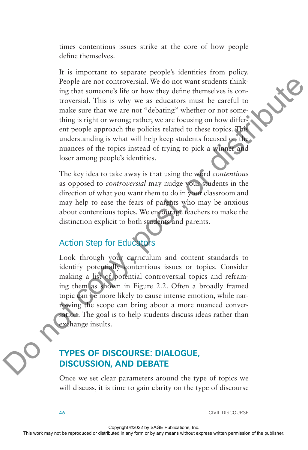times contentious issues strike at the core of how people define themselves.

It is important to separate people's identities from policy. People are not controversial. We do not want students thinking that someone's life or how they define themselves is controversial. This is why we as educators must be careful to make sure that we are not "debating" whether or not something is right or wrong; rather, we are focusing on how different people approach the policies related to these topics. This understanding is what will help keep students focused on the nuances of the topics instead of trying to pick a winner and loser among people's identities. Proofs are not concurrent in We do not want students this<br>the reproduced in the reproduced variations with the reproduced or the studies<br>in any form or the studies with the publisher can be expected to the publisher can b

The key idea to take away is that using the word *contentious* as opposed to *controversial* may nudge your students in the direction of what you want them to do in your classroom and may help to ease the fears of parents who may be anxious about contentious topics. We encourage teachers to make the distinction explicit to both students and parents.

# Action Step for Educators

Look through your curriculum and content standards to identify potentially contentious issues or topics. Consider making a list of potential controversial topics and reframing them as shown in Figure 2.2. Often a broadly framed topic can be more likely to cause intense emotion, while narrowing the scope can bring about a more nuanced conversation. The goal is to help students discuss ideas rather than exchange insults.

### **TYPES OF DISCOURSE: DIALOGUE, DISCUSSION, AND DEBATE**

Once we set clear parameters around the type of topics we will discuss, it is time to gain clarity on the type of discourse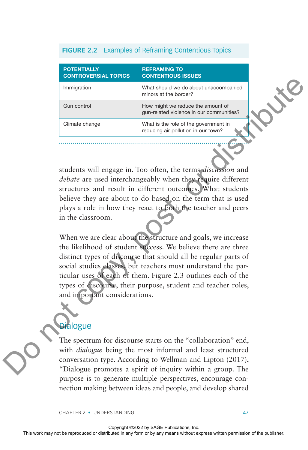#### **FIGURE 2.2** Examples of Reframing Contentious Topics

| <b>POTENTIALLY</b><br><b>CONTROVERSIAL TOPICS</b> | <b>REFRAMING TO</b><br><b>CONTENTIOUS ISSUES</b>                              |
|---------------------------------------------------|-------------------------------------------------------------------------------|
| Immigration                                       | What should we do about unaccompanied<br>minors at the border?                |
| Gun control                                       | How might we reduce the amount of<br>qun-related violence in our communities? |
| Climate change                                    | What is the role of the government in<br>reducing air pollution in our town?  |

students will engage in. Too often, the terms *discussion* and *debate* are used interchangeably when they require different structures and result in different outcomes. What students believe they are about to do based on the term that is used plays a role in how they react to both the teacher and peers in the classroom.

When we are clear about the structure and goals, we increase the likelihood of student success. We believe there are three distinct types of discourse that should all be regular parts of social studies classes, but teachers must understand the particular uses of each of them. Figure 2.3 outlines each of the types of discourse, their purpose, student and teacher roles, and important considerations. The measure of the representation of the representation of the multiple permission or  $\frac{1}{2}$  any  $\frac{1}{2}$  any  $\frac{1}{2}$  any  $\frac{1}{2}$  control or  $\frac{1}{2}$  control or  $\frac{1}{2}$  control or  $\frac{1}{2}$  control or  $\frac{1}{2}$ 

# **Dialogue**

The spectrum for discourse starts on the "collaboration" end, with *dialogue* being the most informal and least structured conversation type. According to Wellman and Lipton (2017), "Dialogue promotes a spirit of inquiry within a group. The purpose is to generate multiple perspectives, encourage connection making between ideas and people, and develop shared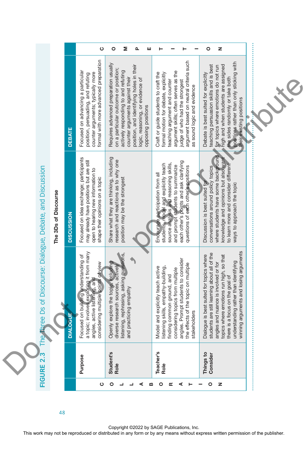|                                                         |                      |                     | ပ                                                                                                                                                                                                  | o<br>Σ<br>ᅀ<br>ш                                                                                                                                                                                                                                              |                                                                                                                                                                                                                                                                   | o<br>z                                                                                                                                                                                                                                                                                             |  |
|---------------------------------------------------------|----------------------|---------------------|----------------------------------------------------------------------------------------------------------------------------------------------------------------------------------------------------|---------------------------------------------------------------------------------------------------------------------------------------------------------------------------------------------------------------------------------------------------------------|-------------------------------------------------------------------------------------------------------------------------------------------------------------------------------------------------------------------------------------------------------------------|----------------------------------------------------------------------------------------------------------------------------------------------------------------------------------------------------------------------------------------------------------------------------------------------------|--|
|                                                         |                      | <b>DEBATE</b>       | formal with more advanced preparation<br>Focused on advancing a particular<br>counter arguments; typically more<br>position, persuading, and refuting                                              | Requires advanced preparation usually<br>position, and identifying holes in their<br>on a particular outcome or position;<br>actively responding to and refuting<br>counter arguments against their<br>logic, reasoning, or evidence of<br>opposing positions | argument based on neutral criteria such<br>argument skills; often serves as the<br>Craft or guide students to craft the<br>formal motion for debate, explicitly<br>judge of who had the strongest<br>teaching argument and counter<br>as sound logic and evidence | bositions rather than only sticking with<br>teaching persuasion skills and is best<br>high and when students are assigned<br>for topics where emotions do not run<br>Debate is best suited for explicitly<br>the sides randomly or take both<br>heir existing positions                            |  |
|                                                         | The 3Ds of Discourse | <b>DISCUSSION</b>   | Focused on idea exchange; participants<br>may already have positions but are still<br>open to hearing new information to<br>shape their opinions on a topic                                        | Share what they are thinking, including<br>research and reactions as to why one<br>position may be the strongest                                                                                                                                              | each other's points and ask clarifying<br>students, model and explicitly teach<br>source analysis and reasoning skills,<br>and prompt students to summarize<br>questions of each other's positions<br>Encourage participation from all                            | where students have some background<br>knowledge and opinions but also want<br>to learn more and consider different<br>conversations around policy topics<br>Discussion is best suited for<br>ways to approach the topic                                                                           |  |
| Three Ds of Discourse: Dialogue, Debate, and Discussion |                      | <b>IALOGUE</b><br>▭ | topic; involves exploring it from many<br>Focused on building understanding of<br>a topic; involves exploring it from many<br>angles, active listening, and<br>considering multiple points of view | Openly explore the topic, holuding<br>diverse research sources, actively<br>listening, rephrasing, asking questions,<br>and practicing empathy                                                                                                                | angles. Prompt students to consider<br>the effects of the topic on multiple<br>stakeholders<br>listening skills, empathy-building,<br>Model and explicitly teach active<br>considering topics from multiple<br>finding common ground, and                         | winning arguments and losing arguments<br>Dialogue is best suited for topics where<br>students are still learning about all of the<br>angles and nuance is involved or for<br>topics where ernotions run high, so that<br>there is a focus on the goal of<br>understanding rather than identifying |  |
| FIGURE 2.                                               |                      |                     | Purpose                                                                                                                                                                                            | Student's<br>Role                                                                                                                                                                                                                                             | leacher's<br>Role                                                                                                                                                                                                                                                 | Things to<br>Consider                                                                                                                                                                                                                                                                              |  |

Copyright ©2022 by SAGE Publications, Inc.<br>This work may not be reproduced or distributed in any form or by any means without express written permission of the publisher.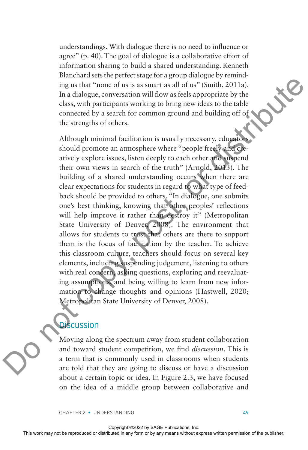understandings. With dialogue there is no need to influence or agree" (p. 40). The goal of dialogue is a collaborative effort of information sharing to build a shared understanding. Kenneth Blanchard sets the perfect stage for a group dialogue by reminding us that "none of us is as smart as all of us" (Smith, 2011a). In a dialogue, conversation will flow as feels appropriate by the class, with participants working to bring new ideas to the table connected by a search for common ground and building off of the strengths of others.

Although minimal facilitation is usually necessary, educators should promote an atmosphere where "people freely and creatively explore issues, listen deeply to each other and suspend their own views in search of the truth" (Arnold, 2013). The building of a shared understanding occurs when there are clear expectations for students in regard to what type of feedback should be provided to others. "In dialogue, one submits one's best thinking, knowing that other peoples' reflections will help improve it rather than destroy it" (Metropolitan State University of Denver, 2008). The environment that allows for students to trust that others are there to support them is the focus of facilitation by the teacher. To achieve this classroom culture, teachers should focus on several key elements, including suspending judgement, listening to others with real concern, asking questions, exploring and reevaluating assumptions, and being willing to learn from new information to change thoughts and opinions (Hastwell, 2020; Metropolitan State University of Denver, 2008). EXECUTE THE THIS WARD THE THIS WARD THE REPROT THE THE CHANGE CONSTRAINS THE AND THE CHANGE CONSTRAINS THE CHANGE CONSTRAINS THE CHANGE CONSTRAINS WERE THE CONSTRAINS WITHOUT THE CHANGE CONSTRAINS WERE THE CONSTRAINS WITH

### **Discussion**

Moving along the spectrum away from student collaboration and toward student competition, we find *discussion*. This is a term that is commonly used in classrooms when students are told that they are going to discuss or have a discussion about a certain topic or idea. In Figure 2.3, we have focused on the idea of a middle group between collaborative and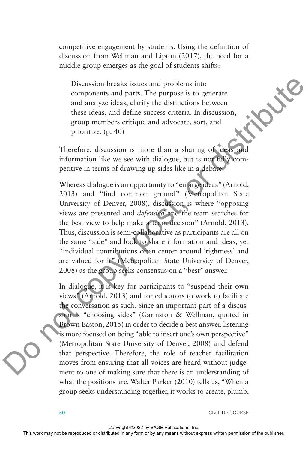competitive engagement by students. Using the definition of discussion from Wellman and Lipton (2017), the need for a middle group emerges as the goal of students shifts:

Discussion breaks issues and problems into components and parts. The purpose is to generate and analyze ideas, clarify the distinctions between these ideas, and define success criteria. In discussion, group members critique and advocate, sort, and prioritize. (p. 40)

Therefore, discussion is more than a sharing of ideas information like we see with dialogue, but is not fully competitive in terms of drawing up sides like in a debate.

Whereas dialogue is an opportunity to "enlarge ideas" (Arnold, 2013) and "find common ground" (Metropolitan State University of Denver, 2008), discussion is where "opposing views are presented and *defended* and the team searches for the best view to help make a team decision" (Arnold, 2013). Thus, discussion is semi-collaborative as participants are all on the same "side" and look to share information and ideas, yet "individual contributions often center around 'rightness' and are valued for it" (Metropolitan State University of Denver, 2008) as the group seeks consensus on a "best" answer.

In dialogue, it is key for participants to "suspend their own views" (Arnold, 2013) and for educators to work to facilitate the conversation as such. Since an important part of a discussion is "choosing sides" (Garmston & Wellman, quoted in Brown Easton, 2015) in order to decide a best answer, listening is more focused on being "able to insert one's own perspective" (Metropolitan State University of Denver, 2008) and defend that perspective. Therefore, the role of teacher facilitation moves from ensuring that all voices are heard without judgement to one of making sure that there is an understanding of what the positions are. Walter Parker (2010) tells us, "When a group seeks understanding together, it works to create, plumb, Discussion breaks issues and problems into generate<br>
and analyze idst, clarify the districtions between<br>
these iddistributed in access or increase correla, and define success or<br>
group members critique and advocate, sort,

50 CIVIL DISCOURSE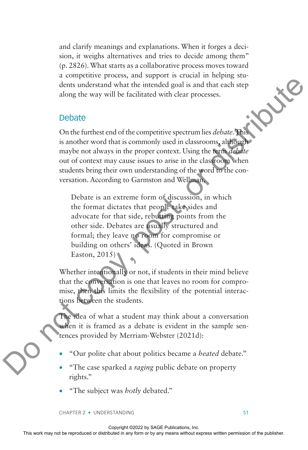and clarify meanings and explanations. When it forges a decision, it weighs alternatives and tries to decide among them" (p. 2826). What starts as a collaborative process moves toward a competitive process, and support is crucial in helping students understand what the intended goal is and that each step along the way will be facilitated with clear processes.

#### Debate

On the furthest end of the competitive spectrum lies *debate*. This is another word that is commonly used in classrooms, although maybe not always in the proper context. Using the term *debate* out of context may cause issues to arise in the classroom when students bring their own understanding of the word to the conversation. According to Garmston and Wellman,

Debate is an extreme form of discussion, in which the format dictates that people take sides and advocate for that side, rebutting points from the other side. Debates are usually structured and formal; they leave no room for compromise or building on others' ideas. (Quoted in Brown Easton, 2015) The magnitude or the right may not be reproduced to the competitive spectrum in a debute. This is model to work with the factured with express with the publisher out of context may ange is users to any context. Using the

Whether intentionally or not, if students in their mind believe that the conversation is one that leaves no room for compromise, then this limits the flexibility of the potential interactions between the students.

The idea of what a student may think about a conversation when it is framed as a debate is evident in the sample sentences provided by Merriam-Webster (2021d):

- "Our polite chat about politics became a *heated* debate."
- "The case sparked a *raging* public debate on property rights."
- "The subject was *hotly* debated."

CHAPTER 2 • UNDERSTANDING 51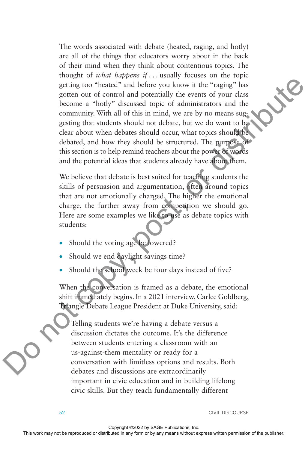The words associated with debate (heated, raging, and hotly) are all of the things that educators worry about in the back of their mind when they think about contentious topics. The thought of *what happens if . . .* usually focuses on the topic getting too "heated" and before you know it the "raging" has gotten out of control and potentially the events of your class become a "hotly" discussed topic of administrators and the community. With all of this in mind, we are by no means suggesting that students should not debate, but we do want to be clear about when debates should occur, what topics should be debated, and how they should be structured. The purpose of this section is to help remind teachers about the power of words and the potential ideas that students already have about them. Express to the reproduced or the reproduced or distributed in a control or distributed in a control or distributed in a control or the publisher. The publisher is the publisher and the community. With all ot this in mult,

We believe that debate is best suited for teaching students the skills of persuasion and argumentation, often around topics that are not emotionally charged. The higher the emotional charge, the further away from competition we should go. Here are some examples we like to use as debate topics with students:

- Should the voting age be lowered?
- Should we end daylight savings time?
- Should the school week be four days instead of five?

When the conversation is framed as a debate, the emotional shift immediately begins. In a 2021 interview, Carlee Goldberg, Triangle Debate League President at Duke University, said:

Telling students we're having a debate versus a discussion dictates the outcome. It's the difference between students entering a classroom with an us-against-them mentality or ready for a conversation with limitless options and results. Both debates and discussions are extraordinarily important in civic education and in building lifelong civic skills. But they teach fundamentally different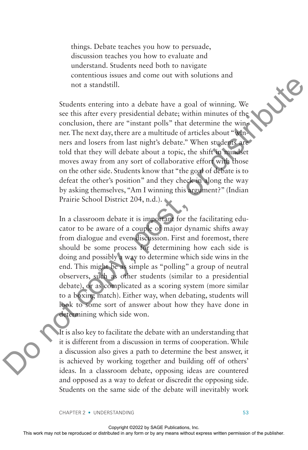things. Debate teaches you how to persuade, discussion teaches you how to evaluate and understand. Students need both to navigate contentious issues and come out with solutions and not a standstill.

Students entering into a debate have a goal of winning. We see this after every presidential debate; within minutes of the conclusion, there are "instant polls" that determine the winner. The next day, there are a multitude of articles about "winners and losers from last night's debate." When students are told that they will debate about a topic, the shift in mindset moves away from any sort of collaborative effort with those on the other side. Students know that "the goal of debate is to defeat the other's position" and they check in along the way by asking themselves, "Am I winning this argument?" (Indian Prairie School District 204, n.d.).

In a classroom debate it is important for the facilitating educator to be aware of a couple of major dynamic shifts away from dialogue and even discussion. First and foremost, there should be some process for determining how each side is doing and possibly a way to determine which side wins in the end. This might be as simple as "polling" a group of neutral observers, such as other students (similar to a presidential debate), or as complicated as a scoring system (more similar to a boxing match). Either way, when debating, students will look to some sort of answer about how they have done in determining which side won. For the repression of the reproduced or distributed in the repression of the reproduced or the reproduced or the reproduced in any means with the publisher. The publisher of the publisher or the publisher or the publisher

It is also key to facilitate the debate with an understanding that it is different from a discussion in terms of cooperation. While a discussion also gives a path to determine the best answer, it is achieved by working together and building off of others' ideas. In a classroom debate, opposing ideas are countered and opposed as a way to defeat or discredit the opposing side. Students on the same side of the debate will inevitably work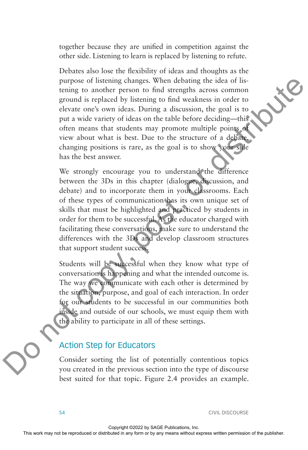together because they are unified in competition against the other side. Listening to learn is replaced by listening to refute.

Debates also lose the flexibility of ideas and thoughts as the purpose of listening changes. When debating the idea of listening to another person to find strengths across common ground is replaced by listening to find weakness in order to elevate one's own ideas. During a discussion, the goal is to put a wide variety of ideas on the table before deciding—this often means that students may promote multiple points of view about what is best. Due to the structure of a debate, changing positions is rare, as the goal is to show your side has the best answer. purpose of inserting changes. When debating the ride of the publisher or distributed in trajector or distributed in a single distribution of the publisher or  $\alpha$  determined the publisher of the publisher. Do not control

We strongly encourage you to understand the difference between the 3Ds in this chapter (dialogue, discussion, and debate) and to incorporate them in your classrooms. Each of these types of communication has its own unique set of skills that must be highlighted and practiced by students in order for them to be successful. As the educator charged with facilitating these conversations, make sure to understand the differences with the 3Ds and develop classroom structures that support student success.

Students will be successful when they know what type of conversation is happening and what the intended outcome is. The way we communicate with each other is determined by the situation, purpose, and goal of each interaction. In order for our students to be successful in our communities both inside and outside of our schools, we must equip them with the ability to participate in all of these settings.

#### Action Step for Educators

Consider sorting the list of potentially contentious topics you created in the previous section into the type of discourse best suited for that topic. Figure 2.4 provides an example.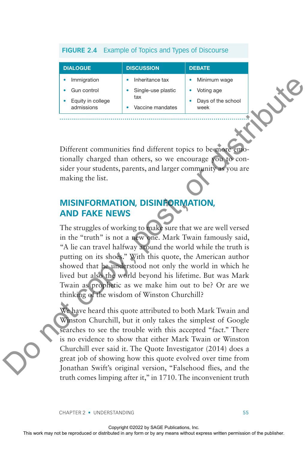#### **FIGURE 2.4** Example of Topics and Types of Discourse

| <b>DIALOGUE</b>                                | <b>DISCUSSION</b>                             | <b>DEBATE</b>                            |
|------------------------------------------------|-----------------------------------------------|------------------------------------------|
| Immigration                                    | Inheritance tax                               | Minimum wage                             |
| Gun control<br>Equity in college<br>admissions | Single-use plastic<br>tax<br>Vaccine mandates | Voting age<br>Days of the school<br>week |
|                                                |                                               |                                          |

Different communities find different topics to be more tionally charged than others, so we encourage you to consider your students, parents, and larger community as you are making the list.

## **MISINFORMATION, DISINFORMATION, AND FAKE NEWS**

The struggles of working to make sure that we are well versed in the "truth" is not a new one. Mark Twain famously said, "A lie can travel halfway around the world while the truth is putting on its shoes." With this quote, the American author showed that he understood not only the world in which he lived but also the world beyond his lifetime. But was Mark Twain as prophetic as we make him out to be? Or are we thinking of the wisdom of Winston Churchill? The straight or the rest of the representation of the representation of the representation of the representation of the publisher or by any means without express the publisher of the publisher. Due to the publisher of the

We have heard this quote attributed to both Mark Twain and Winston Churchill, but it only takes the simplest of Google searches to see the trouble with this accepted "fact." There is no evidence to show that either Mark Twain or Winston Churchill ever said it. The Quote Investigator (2014) does a great job of showing how this quote evolved over time from Jonathan Swift's original version, "Falsehood flies, and the truth comes limping after it," in 1710. The inconvenient truth

CHAPTER 2 • UNDERSTANDING 55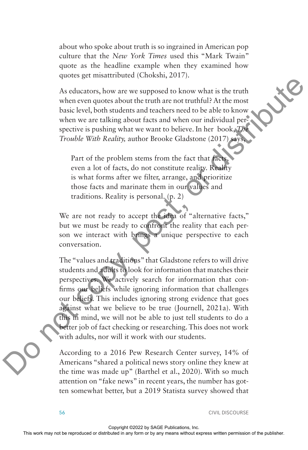about who spoke about truth is so ingrained in American pop culture that the *New York Times* used this "Mark Twain" quote as the headline example when they examined how quotes get misattributed (Chokshi, 2017).

As educators, how are we supposed to know what is the truth when even quotes about the truth are not truthful? At the most basic level, both students and teachers need to be able to know when we are talking about facts and when our individual perspective is pushing what we want to believe. In her book, *The Trouble With Reality,* author Brooke Gladstone (2017) says,

Part of the problem stems from the fact that facts, even a lot of facts, do not constitute reality. Reality is what forms after we filter, arrange, and prioritize those facts and marinate them in our values and traditions. Reality is personal. (p. 2)

We are not ready to accept the idea of "alternative facts," but we must be ready to confront the reality that each person we interact with brings a unique perspective to each conversation.

The "values and traditions" that Gladstone refers to will drive students and adults to look for information that matches their perspectives. We actively search for information that confirms our beliefs while ignoring information that challenges our beliefs. This includes ignoring strong evidence that goes against what we believe to be true (Journell, 2021a). With this in mind, we will not be able to just tell students to do a better job of fact checking or researching. This does not work with adults, nor will it work with our students. As coluctors, how are we supposed or know what is the truth<br>when every approximated in a reachable and the reproduced in a single point<br>when we are traibing about datas and when our individual permission of<br>the publisher

According to a 2016 Pew Research Center survey, 14% of Americans "shared a political news story online they knew at the time was made up" (Barthel et al., 2020). With so much attention on "fake news" in recent years, the number has gotten somewhat better, but a 2019 Statista survey showed that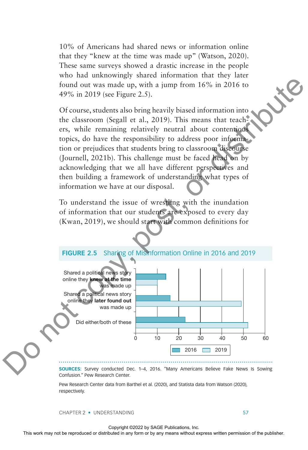10% of Americans had shared news or information online that they "knew at the time was made up" (Watson, 2020). These same surveys showed a drastic increase in the people who had unknowingly shared information that they later found out was made up, with a jump from 16% in 2016 to 49% in 2019 (see Figure 2.5).

Of course, students also bring heavily biased information into the classroom (Segall et al., 2019). This means that teachers, while remaining relatively neutral about contentious topics, do have the responsibility to address poor information or prejudices that students bring to classroom discourse (Journell, 2021b). This challenge must be faced head on by acknowledging that we all have different perspectives and then building a framework of understanding what types of information we have at our disposal.

To understand the issue of wrestling with the inundation of information that our students are exposed to every day (Kwan, 2019), we should start with common definitions for

# **FIGURE 2.5** Sharing of Misinformation Online in 2016 and 2019 Shared a political news story online they knew at the time was made up 0 10 20 30 40 50 60 Shared a political news story online they later found out was made up Did either/both of these 2016 2019 From the representation of the representation of the repression of the representation of the representation of the publisher or distributed in any produced in any representation of the classroom (Segall et al., 2019). Thi

**SOURCES:** Survey conducted Dec. 1–4, 2016. "Many Americans Believe Fake News Is Sowing Confusion." Pew Research Center.

Pew Research Center data from Barthel et al. (2020), and Statista data from Watson (2020), respectively.

CHAPTER 2 • UNDERSTANDING 57

Copyright ©2022 by SAGE Publications, Inc.<br>This work may not be reproduced or distributed in any form or by any means without express written permission of the publisher.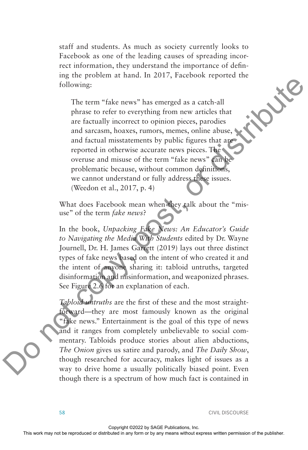staff and students. As much as society currently looks to Facebook as one of the leading causes of spreading incorrect information, they understand the importance of defining the problem at hand. In 2017, Facebook reported the following:

The term "fake news" has emerged as a catch-all phrase to refer to everything from new articles that are factually incorrect to opinion pieces, parodies and sarcasm, hoaxes, rumors, memes, online abuse, and factual misstatements by public figures that are reported in otherwise accurate news pieces. The overuse and misuse of the term "fake news" can be problematic because, without common definitions, we cannot understand or fully address these issues. (Weedon et al., 2017, p. 4)

What does Facebook mean when they talk about the "misuse" of the term *fake news*?

In the book, *Unpacking Fake News: An Educator's Guide to Navigating the Media With Students* edited by Dr. Wayne Journell, Dr. H. James Garrett (2019) lays out three distinct types of fake news based on the intent of who created it and the intent of anyone sharing it: tabloid untruths, targeted disinformation and misinformation, and weaponized phrases. See Figure 2.6 for an explanation of each.

*Tabloid untruths* are the first of these and the most straightforward—they are most famously known as the original "fake news." Entertainment is the goal of this type of news and it ranges from completely unbelievable to social commentary. Tabloids produce stories about alien abductions, *The Onion* gives us satire and parody, and *The Daily Show*, though researched for accuracy, makes light of issues as a way to drive home a usually politically biased point. Even though there is a spectrum of how much fact is contained in The recent may not be reproduced or distribution of the reproduced or distribution or any means to the complisher any form or by any means without express without express written with permission of the publisher. The publ

58 CIVIL DISCOURSE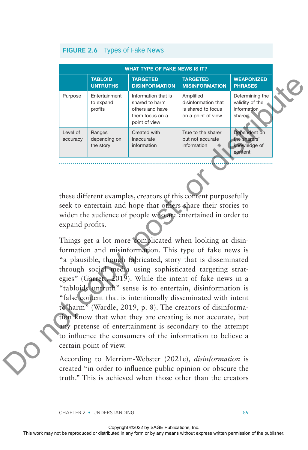#### **FIGURE 2.6** Types of Fake News

| <b>WHAT TYPE OF FAKE NEWS IS IT?</b> |                                       |                                                                                              |                                                                              |                                                             |  |
|--------------------------------------|---------------------------------------|----------------------------------------------------------------------------------------------|------------------------------------------------------------------------------|-------------------------------------------------------------|--|
|                                      | <b>TABLOID</b><br><b>UNTRUTHS</b>     | <b>TARGETED</b><br><b>DISINFORMATION</b>                                                     | <b>TARGETED</b><br><b>MISINFORMATION</b>                                     | <b>WEAPONIZED</b><br><b>PHRASES</b>                         |  |
| Purpose                              | Entertainment<br>to expand<br>profits | Information that is<br>shared to harm<br>others and have<br>them focus on a<br>point of view | Amplified<br>disinformation that<br>is shared to focus<br>on a point of view | Determining the<br>validity of the<br>information<br>shared |  |
| Level of<br>accuracy                 | Ranges<br>depending on<br>the story   | Created with<br>inaccurate<br>information                                                    | True to the sharer<br>but not accurate<br>information                        | Dependent on<br>the sharers'<br>knowledge of<br>content     |  |

these different examples, creators of this content purposefully seek to entertain and hope that others share their stories to widen the audience of people who are entertained in order to expand profits.

Things get a lot more complicated when looking at disinformation and misinformation. This type of fake news is "a plausible, though fabricated, story that is disseminated through social media using sophisticated targeting strategies" (Garrett, 2019). While the intent of fake news in a "tabloids untruth" sense is to entertain, disinformation is "false content that is intentionally disseminated with intent to harm" (Wardle, 2019, p. 8). The creators of disinformation know that what they are creating is not accurate, but any pretense of entertainment is secondary to the attempt to influence the consumers of the information to believe a certain point of view. The repressed or distributed or distributed or distributed or distributed in any means without express to the publisher of the publisher of the publisher of the publisher of the publisher. This contract or distributed in

According to Merriam-Webster (2021e), *disinformation* is created "in order to influence public opinion or obscure the truth." This is achieved when those other than the creators

CHAPTER 2 • UNDERSTANDING 59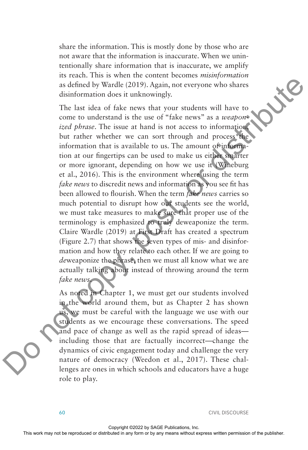share the information. This is mostly done by those who are not aware that the information is inaccurate. When we unintentionally share information that is inaccurate, we amplify its reach. This is when the content becomes *misinformation* as defined by Wardle (2019). Again, not everyone who shares disinformation does it unknowingly.

The last idea of fake news that your students will have to come to understand is the use of "fake news" as a *weaponized phrase*. The issue at hand is not access to information, but rather whether we can sort through and process the information that is available to us. The amount of information at our fingertips can be used to make us either smarter or more ignorant, depending on how we use it (Wineburg et al., 2016). This is the environment where using the term *fake news* to discredit news and information as you see fit has been allowed to flourish. When the term *fake news* carries so much potential to disrupt how our students see the world, we must take measures to make sure that proper use of the terminology is emphasized to truly deweaponize the term. Claire Wardle (2019) at First Draft has created a spectrum (Figure 2.7) that shows the seven types of mis- and disinformation and how they relate to each other. If we are going to *de*weaponize the phrase, then we must all know what we are actually talking about instead of throwing around the term *fake news*. The representation of the reproduced or the reproduced or distribution of the reproduced or distribution of the reproduced or the reproduced information that is on a case as *a weapon* by the reproduced by Wardle 100 by a

As noted in Chapter 1, we must get our students involved in the world around them, but as Chapter 2 has shown us, we must be careful with the language we use with our students as we encourage these conversations. The speed and pace of change as well as the rapid spread of ideas including those that are factually incorrect—change the dynamics of civic engagement today and challenge the very nature of democracy (Weedon et al., 2017). These challenges are ones in which schools and educators have a huge role to play.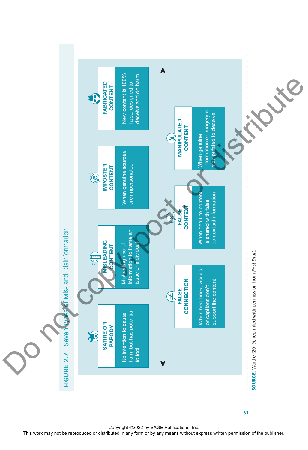

61

Copyright ©2022 by SAGE Publications, Inc.<br>This work may not be reproduced or distributed in any form or by any means without express written permission of the publisher.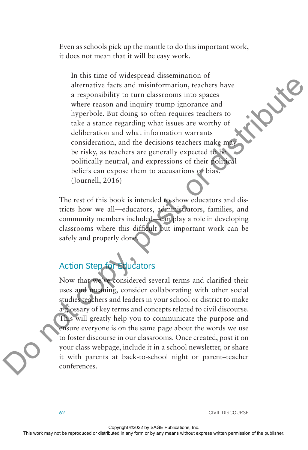Even as schools pick up the mantle to do this important work, it does not mean that it will be easy work.

In this time of widespread dissemination of alternative facts and misinformation, teachers have a responsibility to turn classrooms into spaces where reason and inquiry trump ignorance and hyperbole. But doing so often requires teachers to take a stance regarding what issues are worthy of deliberation and what information warrants consideration, and the decisions teachers make may be risky, as teachers are generally expected to be politically neutral, and expressions of their political beliefs can expose them to accusations of bias. (Journell, 2016)

The rest of this book is intended to show educators and districts how we all—educators, administrators, families, and community members included—can play a role in developing classrooms where this difficult but important work can be safely and properly done.

# Action Step for Educators

Now that we've considered several terms and clarified their uses and meaning, consider collaborating with other social studies teachers and leaders in your school or district to make a glossary of key terms and concepts related to civil discourse. This will greatly help you to communicate the purpose and ensure everyone is on the same page about the words we use to foster discourse in our classrooms. Once created, post it on your class webpage, include it in a school newsletter, or share it with parents at back-to-school night or parent–teacher conferences. The may not be reproduced or distributied or distributies or distributied or distributies or distributies to the reproduced in any or by any or be reproduced in any means were reproduced in any means were reproduced in an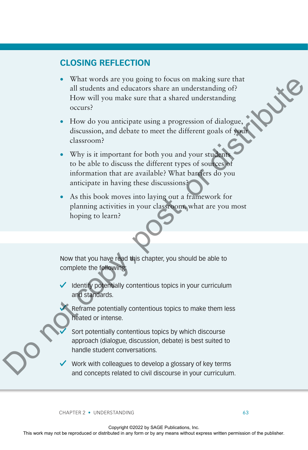## **CLOSING REFLECTION**

- What words are you going to focus on making sure that all students and educators share an understanding of? How will you make sure that a shared understanding occurs?
- How do you anticipate using a progression of dialogue, discussion, and debate to meet the different goals of your classroom?
- Why is it important for both you and your students to be able to discuss the different types of sources of information that are available? What barriers do you anticipate in having these discussions? What work are publisher may not be reproduced or distribution or any form or by any means without expression of dialogue,<br>
Thow will you make sure that a shared understanding or<br>  $\alpha$  How do you anticipate using a progres
	- As this book moves into laying out a framework for planning activities in your classroom, what are you most hoping to learn?

Now that you have read this chapter, you should be able to complete the following:

 $\checkmark$  Identify potentially contentious topics in your curriculum and standards.

Reframe potentially contentious topics to make them less heated or intense.

Sort potentially contentious topics by which discourse approach (dialogue, discussion, debate) is best suited to handle student conversations.

Work with colleagues to develop a glossary of key terms and concepts related to civil discourse in your curriculum.